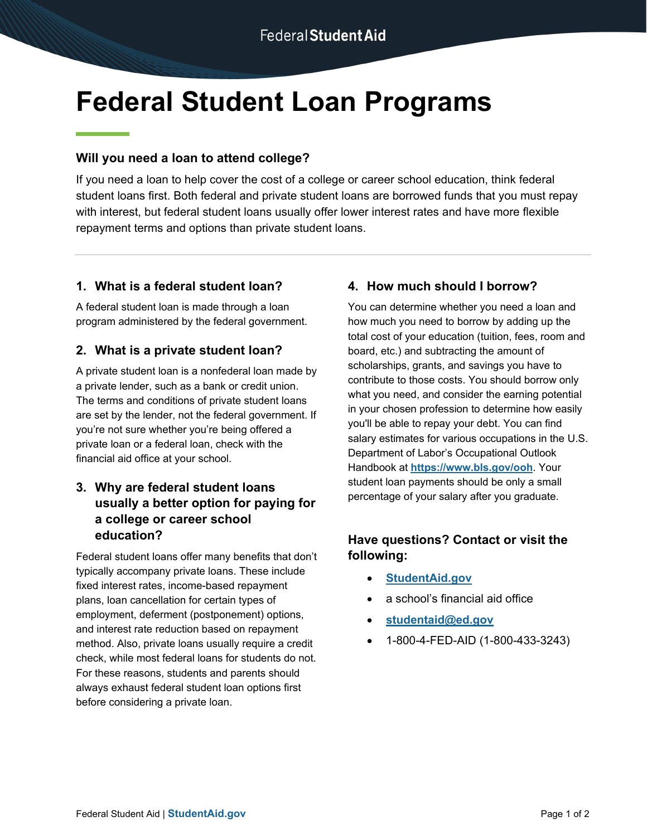# **Federal Student Loan Programs**

## **Will you need a loan to attend college?**

If you need a loan to help cover the cost of a college or career school education, think federal student loans first. Both federal and private student loans are borrowed funds that you must repay with interest, but federal student loans usually offer lower interest rates and have more flexible repayment terms and options than private student loans.

## **1. What is a federal student loan?**

A federal student loan is made through a loan program administered by the federal government.

## **2. What is a private student loan?**

A private student loan is a nonfederal loan made by a private lender, such as a bank or credit union. The terms and conditions of private student loans are set by the lender, not the federal government. If you're not sure whether you're being offered a private loan or a federal loan, check with the financial aid office at your school.

## **3. Why are federal student loans usually a better option for paying for a college or career school education?**

Federal student loans offer many benefits that don't typically accompany private loans. These include fixed interest rates, income-based repayment plans, loan cancellation for certain types of employment, deferment (postponement) options, and interest rate reduction based on repayment method. Also, private loans usually require a credit check, while most federal loans for students do not. For these reasons, students and parents should always exhaust federal student loan options first before considering a private loan.

# **4. How much should I borrow?**

You can determine whether you need a loan and how much you need to borrow by adding up the total cost of your education (tuition, fees, room and board, etc.) and subtracting the amount of scholarships, grants, and savings you have to contribute to those costs. You should borrow only what you need, and consider the earning potential in your chosen profession to determine how easily you'll be able to repay your debt. You can find salary estimates for various occupations in the U.S. Department of Labor's Occupational Outlook Handbook at **[https://www.bls.gov/ooh](https://www.bls.gov/ooh/)**. Your student loan payments should be only a small percentage of your salary after you graduate.

## **Have questions? Contact or visit the following[:](https://studentaid.gov/)**

- **[StudentAid.gov](https://studentaid.gov/)**
- a school's financial aid office
- **[studentaid@ed.gov](mailto:studentaid@ed.gov)**
- 1-800-4-FED-AID (1-800-433-3243)